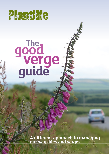

# **The good** *<u>verge</u>*<br>guide

**A different approach to managing our waysides and verges**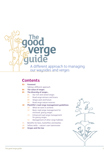

# **Contents**

### **Foreword**

- Taking a different approach
- **The value of verges**
- **The diversity of verges...**
	- Our rich and varied verges
	- Road verge winners and losers
	- Verges past and future
	- Road verge nature reserves

### **Plantlife's road verge management guidelines**

- What we want to achieve
- Basic road verge management for enclosed, grassy verges
- Enhanced road verge management for grassy verges
- Management of other verge habitats
- Benefits for bees, butterflies and beetles
- Yellow rattle nature's own lawnmower
- **Verges and the law**

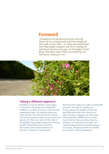# **Foreword**

*"Throughout the spring and summer the wild flowers of our country roads and lanes delight all who walk or drive them – or rather one would think that they delight everyone, but this is clearly not entirely so because each year, at the height of their glory, mile upon mile of them are ruthlessly cut."* John Burton, Country Life, 1973.



# **Taking a different approach**

Plantlife's vision for Britain's road verges is one where all verges are managed for wildlife as a matter of course, restoring and expanding flower-rich habitats along our road network. This will ensure the survival and natural spread of both common and rare species, for their own sake, for the sake of the wildlife they support and environmental benefits they bring, and to enhance the contact with nature experienced by users of Britain's road network.

We know that verges are under considerable pressure. Priorities for safety and access, along with budget constraints and difficulties with the collection of litter and grass clippings all mean that enhancing their wildlife value is often low on the list. But we believe that the adoption of a few basic principles can significantly improve the biodiversity on our verges, bringing benefits for wildlife, for us and for future generations.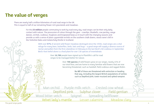# **The value of verges**

There are nearly half a million kilometres of rural road verge in the UK. This is equal to half of our remaining flower-rich grasslands and meadows.

> For the **23 million** people commuting to work by road every day, road verges can be their only daily contact with nature. The procession of colour through the year – cowslips, bluebells, cow parsley, oxeye daisies, orchids, scabious, foxgloves and knapweed keep us in touch with the changing seasons and provide us with a sense of place: pyramidal orchids on the southern chalk downs, wood crane's-bill in the Yorkshire Dales and melancholy thistle in Scotland.

> > With over **97%** of ancient wild flower meadows destroyed since the 1930s, road verges are a vital refuge for many bees, butterflies, birds, bats and bugs – a good verge will supply a diverse source of nectar and pollen from the first celandines in February to the last Devil's-bit scabious in September. Bird's-foot trefoil alone is a food plant for over 130 species of invertebrate.

> > > Over **16,700** people have signed up to Plantlife's call for road verges to be managed better for nature.

> > > > Over **700 species** of wild flowers grow on our verges, nearly 45% of our total flora, and are home to many familiar wild flowers that are now becoming threatened, such as harebell, field scabious and ragged-Robin.

> > > > > But **87** of these are threatened with extinction or heading that way, including the largest British populations of rarities such as Deptford pink, tower mustard and spiked rampion.

Man orchid Purple milk-vetch Crested cow-wheat Iphur clover Field gentian Wood bitter-vetch Spignel Spreading bellflower Velvet lady's-mantle Lesser calamint Meadow clary

The good verge guide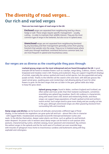# **The diversity of road verges... Our rich and varied verges**

### **There are two main types of road verge in the UK:**

**Enclosed** verges are separated from neighbouring land by a fence, hedge or wall. These verges require specific management – usually cutting – in order to maintain their wildlife interest. They are the most common type of verge in the lowlands, but also occur in upland areas.

**Unenclosed** verges are not separated from neighbouring farmland by any boundary and their management generally comes from grazing livestock that wander onto the verge. They occur in lowland areas where roads pass through heathland, moorland and across common land, but are most frequent in upland and mountainous areas.

### **Our verges are as diverse as the countryside they pass through:**

**Lowland grassy verges are the most widespread and are found throughout the UK**. A good example will be home to meadow flowers such as cowslips, oxeye daisy, scabious, clovers, vetches, knapweed and meadow crane's-bill. Flowery and exuberant, they can support magnificent displays of orchids, especially the various spotted and marsh orchid species, but also pyramidal and early purple orchids. Thanks to the infertile soil the sward is thin and short, with delicate grasses like sweet vernal grass, quaking grass and crested dog's-tail allowing plenty of room for other flowers to grow. On the best verges that are cut later in the year, yellow rattle also helps to keep the grass down.

> **Upland grassy verges**, found in Wales, northern England and Scotland, are often wetter and more acidic than their lowland counterparts, sometimes resembling rare upland hay meadows. Devil's-bit scabious is characteristic, along with wood crane's-bill, bistort and melancholy thistle, and these verges can support large populations of heath spotted orchid and northern marsh orchid. Such verges tend to grow more slowly and are usually cut late in the year, although unenclosed verges are often grazed by livestock from surrounding hills and moorland.

**Damp verges and ditches** can be found at all altitudes and provide a different type of floral display. In the lowlands the vegetation can grow quite tall and lush – almost like a fen in character - with ragged-Robin, meadowsweet and purple loosestrife interspersed between rushes and reeds. In the ditches themselves, deeper-water plants can thrive, such as yellow iris and hemlock water-dropwort. On poorer soils in western areas damp verges can be home to rush-pasture (rhôs pasture), characterised by rushes, whorled caraway, lesser spearwort and sneezewort. By contrast, the wettest verges in the uplands and the far north-west of Scotland can even resemble bogs, with mounds of sphagnum moss home to insectivorous sundews and butterworts along with bog asphodel and cottongrass.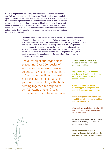**Heathy verges** are found on dry, poor soils in lowland areas of England and Wales where roads pass though areas of heathland, or more widely in upland areas of the UK; they're especially common in Scotland where roads often pass through areas of unenclosed moorland. Such verges can provide colourful displays of heather (ling) and bell heather, along with gorse and bilberry (blaeberry), and flowers including tormentil, heath bedstraw and sheep's-bit scabious. Since their growth is quite slow, these verges are not cut annually; they're usually unenclosed and are often grazed by livestock from surrounding land.

> **Wooded verges** can be simply magical in spring, with flamboyant displays of woodland flowers along shaded leafy lanes under a canopy of leaves. Primroses, bluebells, celandines, wood anemone, ramsons, greater stitchwort and violets all herald the arrival of spring, along with early purple orchid nestled amongst the ferns. Later, foxgloves and red campion continue the show, and in a few places in the west rarer bastard balm and spreading bellflower can be found. Grasses tend to grow thinly in the shade, so if cutting is needed it's usually done in June and July when the spring flowers have set their seed.

The diversity of our verge flora is staggering. Over 700 species of wild flower are known to grow on verges somewhere in the UK, that's 45% of our entire flora. This vast palette allows some remarkable pictures to be painted, with plants coming together in a myriad of combinations that lend local character and identity to our verges: **Sunken lanes in Devon** with bluebells, bastard balm, wood anemones and ferns

**Dry, grassy verges in eastern Scotland** with maiden pink, hoaru cinquefoil, knotted clover and meadow saxifrage

**Chalk downland verges on Salisbury plain** with pyramidal orchids, thyme and squinancywort

**Upland verges in mid Wales** with wood bitter-vetch, butterfly orchids and heath bedstraw

**Clay-rich verges in East Anglia** with sulphur clover, crested cow-wheat and dyer's greenweed

**Limestone verges in the Yorkshire Dales** with bistort, wood crane's-bill and lady's mantles

**Damp heathland verges in western Scotland** with butterworts, cottongrass and sphagnum mosses



The good verge guide 600 m contracts to the contract of the good verge guide 600 m contracts of the good verge guide 600 m contracts of the good verge guide 600 m contracts of the good verge guide 600 m contracts of the go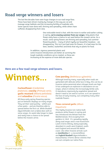# **Road verge winners and losers**

The last few decades have seen huge changes in our road verge flora. These have been driven mainly by changes in the way we cut and manage verge habitats and the increasing fertility of roadside soils. Some species have done well, thriving and spreading, while others have suffered, disappearing from view.

> One noticeable trend is that, with the move to earlier and earlier cutting in spring, **we're erasing summer from our verges**. Only plants that flower early have a chance to set seed before the mowers arrive. As a result, some spring flowers are thriving and spreading, but summerflowering plants – many of which typify our beautiful meadows – are disappearing. This isn't just bad news for flowers, it is bad news for the bees, beetles, butterflies and birds that rely on plants for food.

In addition, vigorous perennial plants and some invasive introductions are better at surviving the tough roadside conditions we've created, so these are increasing at the expense of more delicate species.

## **Here are a few road verge winners and losers.**



### **Cuckooflower** (*Cardamine pratensis*), **cowslip** (*Primula veris*), **garlic mustard** (*Alliaria petiolata*) and **celandine** (*Ficaria vesca*).

All these early spring-flowering species put on fantastic displaus on manu verges. They set their seed quickly – within just a few weeks – and are therefore able to spread before the first cut. While bluebell (*Hyacinthoides non-scripta*) does well on some verges, its seeds take longer to ripen and rarely have a chance to be spread before the mowers arrive.



### **Cow parsley** *(Anthriscus sylvestris)*.

Although loved by many, especially when roads are garlanded with delicate white lace in May, this can be an invasive native perennial when nitrogen levels are high. It has undergone an explosion in abundance on our verges, where it relishes the increasingly fertile soils. It reproduces vigorously by vegetative spread and doesn't need to set seed to survive, so it can spread in the face of early mowing, out-competing many other roadside flowers.

### **Three-cornered garlic** *(Allium*

### *triquetrum).*

This highly invasive non-native bulb produces white flowers in spring and was introduced into Britain from the Mediterranean, first escaping from gardens in 1849. It's spreading rapidly along road verges and is now found from Land's End to Orkney, being especially abundant in south-west England, southeast England and around the Welsh coast. Like other invasive arrivals such as **montbretia** (*C. x crocosmiiflora*) and **hybrid bluebell** (*Hyacinthoides x massartiana*), it forms dense colonies that can out-compete our native flora.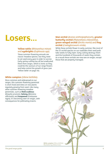# **Losers...**

### **Yellow rattle** (*Rhinanthus minor*) and **eyebrights** (*Euphrasia* spp).

These summer-flowering annuals are classic meadow species, but they need to set seed every year in order to survive. Early spring cutting has all but eradicated them from verges, which is ironic as they could be the saviours of our verge flowers and help control the growth of grass (see 'Yellow rattle' on page 16).

### **Man orchid** (*Aceras anthropophorum*)**, greater butterfly-orchid** (*Platanthera chlorantha*), **green-winged orchid** (*Orchis morio*) and **frog orchid** (*Coeloglosswum viride*).

While these orchids flower in early summer, like most of the 25 orchid species on our roadsides their seed pods take weeks to fully ripen. Early cutting destroys them and the hundreds of thousands of seeds they contain. As a result these orchids are now rare on verges, except those that are properly managed.

### **White campion** (*Silene latifolia*).

Once common and widespread on our verges, this summer-flowering perennial is short-lived and relies on new plants regularly growing from seed. Like many other summer-flowering meadow perennials, such as **field scabious** (*Knautia arvensis*), **betony** (*Betonica officinalis*) and **knapweed** (*Centaurea nigra*), it's becoming rarer on verges, with consequences for pollinating insects.

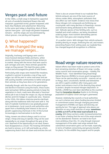# **Verges past and future**

In the 1980s, a chalk verge in Hampshire supported all sorts of wonderful downland flowers like wild marjoram, puramidal orchid, greater knapweed, wild basil, blue fleabane and salad burnet. Returning to the same spot today is dispiriting. Most of these species have gone – just tough old greater knapweed remains – and the verges are now dominated by robust grasses, cow parsley and hogweed.

# Q: What happened? A: We changed the way we manage verges...

Originally, trackways and byways were used to move livestock between fields and farms, whilst ancient droveways took livestock longer distances to market. Along with the horses that were used to pull carriages and carts, these animals grazed the verges as they passed. This kept the grass under control and encouraged the growth of wild flowers.

Particularly wide verges were treated like meadows, scythed in summer to provide a crop of hay; such verges can still be seen in some rural areas and are still used by traveller communities to tether and graze their animals as they have done so for generations.

Gradually though, with the rise of the petrol engine and decline in livestock using the tracks, these routes were tarmacked. Without grazing animals to keep the vegetation in check, roads were allocated a 'linesman' whose job it was to keep the verges cut, dig out drainage ditches and trim hedges in a particular area. However, in the 1950s, this labour-intensive practice declined, along with the traditional skills that went with it. The task of roadside maintenance was gradually passed on to landowners, local councils and authorities who (apart from a thankfully brief interest in the use of growth-suppressing chemicals in the 1970s) turned increasingly to mechanisation to do the job.

Today, mowers are almost always used to cut our verges. Cheap and easy to operate, they can be used repeatedly to cut verges throughout the year at low cost. Deprived of the opportunity to set seed, flowers have disappeared as a result. The mowings left behind are hard to remove, so it's left and builds up a thick, suppressing thatch that rots down and enriches the soil. There is also an unseen threat to our roadside flora. Vehicle exhausts are one of the main sources of nitrous oxides (NOx), atmospheric pollutants that also affect our own health. Evidence now shows that these nitrogen-rich compounds are fertilising our countryside, with many declines in flowerings, mosses and liverworts being attributed to this 'fertiliser rain'. Delicate species of low-fertility soils, such as harebell and small scabious, are being shouldered aside by larger, more nutrient-demanding species like cock's-foot grass and creeping thistle.

 It's a perfect storm. With nitrogen from vehicle exhausts landing directly on verges, fertilising the soil, and mowers preventing flowers from setting seed, our roadside flora has changed beyond all recognition in a lifetime.

# **Road verge nature reserves**

Valiant efforts have been made to protect some of the best remaining stretches of flower-rich verge. Locally, some councils and conservation groups – notably The Wildlife Trusts – have identified many Road Verge Nature Reserves (RVNRs) to ensure good management. These can be spectacularly successful – reserves set up in Powys, Kent, Lincolnshire, Norfolk and Oxfordshire are still in superb condition after many years and protect and enhance much of the diversity they aimed to protect, despite increased nitrogen deposition. In Norfolk, a RVNR has even been identified as the counties' flagship **[Coronation Meadow](http://coronationmeadows.org.uk/coronation-meadows/region/norfolk)** thanks to its thriving population of sulphur clover and dyer's greenweed.

However, relatively few councils or local authorities run such schemes and, when funding becomes limited or commitment wanes through changing personnel, management of RVNRs can lapse and diversity can quickly be lost. This type of approach also places our attention on very small stretches of verge, **sometimes as little as 0.07% of the total road network in a county**. With these sections under increased protection, it can foster a feeling that the rest of the verge network can be abandoned. However, we need to be much more ambitious than this. It's only through improved management of the wider road verge network that substantial conservation gains can be made, especially in terms of habitat connectivity and genuine benefits for plants, for the wildlife they support and for people.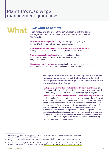# Plantlife's road verge management guidelines



# **...we want to achieve**

**The primary aim of our Road Verge Campaign is to bring good management to as much of the rural road network as possible. We want to:**

**Maximise flowering plant diversity** on our verges, recognising that nearly 45% of our native flora grows on road verges.

**Maximise subsequent benefits for invertebrates and other wildlife** through provision of food plant resources, including nectar and pollen.

**Produce practical guidelines** that can be easily undertaken by landowners, councils and local authorities on as many verges as possible.

**Keep roads safe for motorists**, recognising that verges along sight-lines and around junctions are a priority and need to be cut regularly.

> **These guidelines are based on a review of grassland, meadow and verge management, especially long-term studies that**  investigate the effects of cutting dates on vegetation<sup>1,2</sup>. These **show two interesting things:**

**Firstly, early cutting dates reduce floral diversity over time**. Deprived of an opportunity to seed, early cutting encourages the vigorous growth of robust, long-lived species that are more likely to spread vegetatively.

**Secondly, late cutting dates also reduce floral diversity over time**. If cutting is delayed too late in the season, this encourages the build-up of a thick 'thatch' of dead and dying vegetation forming a mat over the soil. Again, this encourages the growth of more vigorous species that don't rely on open soil for seed to germinate, as many of our wild flowers do. **Even worse is no cutting at all**; if grasslands and verges are left uncut even for just one year their composition begins to change and species begin to decline. Basically<sup>3</sup>, grassy verges are very sensitive to changes in management and there appears to be a narrow window of opportunity each year – from mid-July until the end of September – when cutting helps to maximise species diversity.

<sup>1</sup> Humbert, J-Y, Pellet J, Buri, P & Arlettaz R (2012). Does delaying the first mowing date benefit biodiversity in meadowland? Environmental Evidence 1:9.

<sup>2</sup> Parr TW, Way JM (1988). Management of roadside vegetation: the long-term effects of cutting. J Appl Ecol, 25:1073–1087.

<sup>3</sup> Csergő, AM, Demeter, L., Turkington, R. (2013). Declining Diversity in Abandoned Grasslands of the Carpathian Mountains: Do Dominant Species Matter? PLoS One <http://www.ncbi.nlm.nih.gov/pmc/articles/PMC3754964/>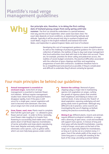# Plantlife's road verge management guidelines



**Our principle aim, therefore, is to delay the first cutting date of lowland grassy verges from early spring until lat summer. The first cut should be undertaken in a period between mid. July and the end of September, when date of lowland grassy verges from early spring until late summer.** The first cut should be undertaken in a period between mid-July and the end of September, when seeds have been shed. The exact date depends on local conditions, as determined by latitude and altitude. Typically it will be around mid-July in southern England and south Wales, August in the English midlands and lowland mid-north Wales, and September in upland England, Wales and most of Scotland.

> Developing this sort of management guidance is never straightforward. As well as the challenge of producing general guidance for such a diverse collection of habitats, the realities of day-to-day road verge management that local authorities must deal with have to be taken into account. There are, for example, priorities for driver safety and pedestrian access, the realities of severe budget constraints, the practical difficulties associated with the collection of grass clippings and litter and negotiating programmes of work with contractors. Guidelines therefore have to be as straightforward and practical as possible; if they're complicated and difficult to undertake they'll almost certainly be ignored.

# Four main principles lie behind our guidelines:

**Annual management is essential on enclosed verges***.* Some form of verge management is essential to maintain flowerrich habitats. Without regular management, studies have shown that most grassland flowers disappear rapidly. Even if the grass is left uncut for a single year, coarser vegetation will start to become more dominant. Over time, uncut verges turn into scrub and woodland. 1

**Grow, flower, seed, mow.** Plants need to complete their full life cycle each year  $-$  i.e. allowed to grow, flower and set seed – in order to thrive. Generally, most flowers take roughly 6 to 8 weeks from flowering to successfully shed viable seed. Cutting plants down in full flower deprives invertebrates of nectar and pollen and stops plants reproducing from seed. Regular and early cutting quickly eliminates some species, such as yellow rattle, which can even help keep grasses under control. 2

**Remove the cuttings***.* Removal of grass clippings plays a major role in maintaining species-rich vegetation on verges, curbing the growth of vigorous plants that smother their neighbours and helping to reduce soil nutrient levels. It also removes the 'thatch' of dead vegetation, exposing underluing soil and giving seeds room to germinate. Although very difficult to do in practice, some councils are investigating the use of clippings as biofuel, making the practice economically viable. 3

**Mixing it up.** Different plants, insects and animals require different ecological conditions, so verges with a diversity of open areas, scrub and woodland will support more species. A mixture of long and short grass will also benefit invertebrates. Leaving a strip of longer, uncut grass at the back of the verge can is especially helpful for invertebrates, as long as it can be cut on a rotation every 2-3 years. Even if the whole width of the verge is cut, some long grass is usually left standing at the back of the verge, providing essential habitat.  $\prime_{\rm L}$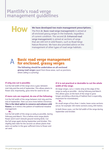# Plantlife's road verge management guidelines



### **We have developed two main management prescriptions.**

The first (A. Basic road verge management) is aimed at all enclosed grassy verges in the lowlands, regardless of current condition. The second (B. Enhanced road verge management) is aimed at sections of verge that are still rich in wild flowers, such as Road Verge Nature Reserves. We have also provided advice on the management of other types of road verge habitats.

# **Basic road verge management for enclosed, grassy verges** A

**The following should be undertaken on all enclosed grassy road verges** (apart from those areas, such as junctions, where safety is a priority)

### **If only one cut is possible:**

Cut the full width of the verge once a year, between mid-July and the end of September. This allows plants to flower and, importantly, gives time for seed to be set.

### **If more cuts are required, do one of the following:**

Cut the full width of the verge between mid-July and the end of September. Then cut once more before Christmas. **This is the ideal option to conserve and enhance wild flowers**, as it mimics the pattern of traditional meadow management.

### **Or...**

Cut the full width of the verge as early as possible, during February and March. This is before most verge plants flower and it won't disturb ground-nesting birds. Cut the full verge again during September and October. This slightly later date for the second cut allows plants that were cut earlier in the year sufficient time to flower and set seed.

### **If it is not practical or desirable to cut the whole width of the verge:**

On large verges, cut a 1 metre strip at the edge of the verge as early as possible – during February and March. This allows grass at the back of the verge to grow longer, providing a diversity of habitat that is especially important for invertebrates.

**Or...**

On small verges of less than 1 metre, leave some sections uncut, for example 100-metre sections every 200 metres.

In both these cases, cut the full width of the verge during September and October.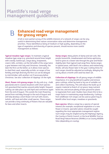# **Enhanced road verge management for grassy verges**

A full or even partial survey of the wildlife interests of a network of verges can be very useful in determining their nature conservation value and determine management priorities. Those identified as being of medium or high quality, depending on the type of vegetation and diversity of species present, should receive more careful management as follows:

**Typical meadow-type verges:** To maintain a typical meadow-type verge (e.g. grassland around knee-height with cowslip, buttercups, oxeye daisy, knapweeds, crane's-bills, orchids), cut the full width of the verge twice a year between mid-July and Christmas. Generally, the later the first cut the better, as it allows more species to shed their seed, especially orchids; on verges of low fertility and high diversity the first cut can be delayed to mid-October, with another cut if necessary before Christmas. See also 'collection of clippings' on the right.

**Short, flower-rich grassy verges:** On dry soils (e.g. chalk grassland) and in coastal situations with short speciesrich grassland that reaches around ankle height, frequent cutting can take place up until April and commence again from the end of August. This avoids the main flowering period from mid-May through to the end of August and will help develop a short flower-rich turf with clovers, trefoils, self-heal and other small species. These verges can provide a long continuity of flowers that are valuable for bees and other insects.

**Damp verges:** Many plants of damp and wet soils, like purple-loosestrife, meadowsweet and hemp-agrimony, tend to grow at a slower rate through the year and flower slightly later than typical road verge flora. Damp verges in upland areas, with Devil's-bit scabious and melancholy thistle, will also flower later in the year. Cutting times for such verges should be adjusted accordingly, delaying the cut by about a month until seed has been set.

**Collection of clippings:** On all grassy verges of wildlife importance, it is very beneficial to gather and remove grass cuttings, either by hand or by use of suitable cutand-collect machinery. This will reduce the build-up of organic material (a thatch of cut grass), keep nutrient levels low, and ensure plenty of bare ground for plants to regenerate from seed. Studies have shown this to be a major factor in maintaining verge biodiversity. Cuttings from wildflower-rich verges can be used as green hay to benefit other local verges, meadows or grasslands.

**Rare species:** Where a verge has a species of special interest (for example, exceptional vegetation or a rare flower or insect), specialist advice should be sought regarding the most appropriate management regime. Such verges may be singled out by the Highways Agency, the County or Parish Council, or the local Wildlife Trust as Road Verge Nature Reserves (RVNRs) or as County Wildlife Sites (depending on county).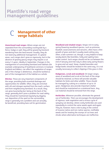# **Management of other verge habitats** C

**Unenclosed road verges:** Where verges are not separated from the surrounding countryside by a fence, hedge or wall, they will be grazed by livestock wandering from the land around. Usually, they do not need any additional management. In upland areas, such verges don't grow as vigorously, but in the absence of grazing grassy verges may require a cut every 3-5 years, ideally in September. Changes in the management of surrounding farmland and habitats (for example undergrazing of heathland commons in lowland England and Wales), can affect the vegetation of verges and, if the change is deleterious, should be tackled as part of the management of the habitat as a whole.

**Ditches**: These are very important components of the verge, providing both essential drainage and opportunities for wildlife. Often, they are enriched with silt and nitrogen washed from the road's surface and from neighbouring farmland. As a result, they can grow luxuriantly but, being at the back of the verge, generally don't pose a problem for road safety. They should be maintained regularly by digging out; deposition of the spoil on the surrounding verge is generally not a problem and can actually be beneficial, providing bare soil for germination.

**Woodland and shaded verges:** Verges rich in earlyspring flowering woodland species, such as primrose, bluebell, wood anemone and ransoms, often have a thin growth of grass and don't usually need cutting very often; a late summer cut, though, is very helpful to keep woody plants like brambles, holly and sapling trees under control. Such verges should not be cut between the end of January and mid-July to allow early spring flowers to grow and set seed. Steep, shaded lanesides and hedge banks should be treated in the same way. It is not usually necessary to collect clippings if the grass is thin.

**Hedgerows, scrub and woodland:** On larger verges, areas of woodland and scrub at the back of the verge should be retained, as these will provide valuable habitats for birds and other wildlife. These should be managed by cutting on a rotation of up to 10 years. Hedgerows also provide important shelter and should be maintained on a rotational basis. Any cut material should be removed from the verge.

**Herbicides:** Wherever possible, eliminate the general use of herbicides. Their use encourages the development of vigorous, rank vegetation and a vicious cycle of spraying can develop, where costly herbicides are used repeatedly to control the same weeds again and again. They do, however, have a role to play in the control of invasive native and non-native species, notifiable weeds and for treating the stumps of cut trees and shrubs where alternative techniques are ineffective.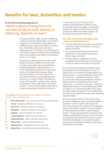# **Benefits for bees, butterflies and beetles**

**As Sir David Attenborough puts it,**  "plants capture energy from the sun and all life on land, directly or indirectly, depends on them"

> If we get the plants right, all other wildlife has a chance of thriving. Road verges are essential refuges for the wild flowers that support our wildlife and their value in the fight to conserve bees, butterflies and beetles cannot be underestimated. Thankfully, this contribution is now being recognised; several national pollinator plans and strategies have targets to bring back colour to our verges.

But plants provide invertebrates with a wide range of resources. While the current focus is firmly on providing nectar and pollen for declining pollinators, especially bees, it's worth remembering that there is very much more to the relationship between plants and invertebrates. The most critical role that plants play from an invertebrate point of view is as a source of food: caterpillars of moths and butterflies, aphids, grubs, weevils, grasshoppers, mites, gall wasps, shield bugs, sawflies – the list of invertebrates that feed on living and dead plant material is enormous.

### The **top 10** road verge flowers that support the highest numbers of invertebrates are:

- 1 **Bird's-foot trefoil** - *Lotus corniculatus* (160 species supported)
- 2 **Yarrow** - *Achillea millefolium* (141 species)
- 3 **Red clover** - *Trifolium pratense* (115 species)
- 4 **Dandelion** - *Taraxacum officinale* (107 species)
- 5 **Ragwort** - *Senecio jacobaea* (107 species)
- 6 **Lady's bedstraw** - *Galium verum* (101 species)
- 7 **Hedge bedstraw** - *Galium mollugo* (100 species)
- 8 **White clover** - *Trifolium repens* (98 species)
- 9 **Meadowsweet** - *Filipendula ulmaria* (91 species)
- $1<sub>0</sub>$ **Oxeye daisy** - *Leucanthemum vulgare* (85 species)

You can see that, even if only a small number of flowering plant species can be encouraged to grow on verges, the potential benefits are huge. And if the insects return, so does the wildlife that feeds on them, all the way to the top of the food chain.

### **Our main aims when managing road verges for invertebrates are:**

- **•** Increase native plant diversity to provide the maximum range of food plants, including pollen and nectar
- No cutting between May and the end of September as this destroys food plants, flowers, eggs and larvae
- Provide a diverse vegetation structure, including short and long grass, and areas of scrub to provide shelter and roosting sites

Our road verge management guidelines have been produced with invertebrates in mind. A balance has to be reached, though because, for many species, it is very beneficial to leave areas of uncut grass – standing vegetation is used by many overwintering invertebrates. However, leaving verges uncut rapidly leads to plant species loss – in as little as one year – and this is highly detrimental to overall biodiversity. While our advice is to "cut the full width of the verge", in reality standing vegetation is normally left at the back of the verge and around scrub, providing valuable shelter.

We must also be mindful of the need to keep the wild in wildflower. While 'pictoral meadows' 'pollinator mixtures' (often with many nonnative species) provide a quick-fix for pollinators, they do very little to support the huge numbers of invertebrates that feed on native meadow flowers. They're also expensive to buy and grow, needing considerable contractor time. If we want a sustainable and long-term future for our bees, butterflies and beetles, we should instead be using natural seeding techniques to bring back the flowers to our verges.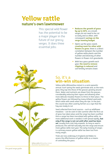# **Yellow rattle nature's own lawnmower**

This special wild flower has the potential to be a major player in the future of our grassy verges. It does three essential jobs:

- **Reduces the growth of grass by up to 60%**; as a result, verges do not need to be cut so early and so often, with consequent **savings on the verge mowing budget**.
- Opens up the grass sward, **creating room for other wild flowers to grow**; there is a direct correlation between the number of yellow rattle plants and the number and diversity of other flowers in flower-rich grasslands.
- With less grass growth each year, **the need to remove clippings is reduced** and soil fertility remains lower.

# So, it's a **win-win situation**.

Yellow rattle (*Rhinanthus minor*) is a semi-parasitic annual. Each spring the seeds germinate and, as the roots grow, they tap into those of the grasses growing around them. Water and nutrients are drawn from the grasses, considerably reducing their vigour and allowing other more delicate meadow flowers to thrive in their place. The yellow flowers are followed by many inflated seed pods, which rattle with seeds when they are ripe. In the past, this sound was often used by farmers as a sign that the hay was ready to cut.

Seed collected from local sources – such as wildflower meadows – can be sown in late summer after the first cut of grass has taken place and the verge has been scarified. Once a verge has been inoculated with yellow rattle, no more additional work is needed; it will spread rapidly, **but only if the verge is not cut until after seed has been set**, usually from mid-July onwards. As long as seed is produced, this will fall naturally into the verge and ensure more yellow rattle next year. The early mowing of verges is a primary reason yellow rattle has been lost from many verges.

Trials are now underway in England and Wales to assess the effectiveness of yellow rattle as a means of controlling the grass.

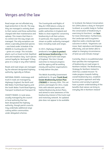# Verges and the law

Road verges are not afforded any legal protection in the UK. The way they are managed is entirely down to their owners and those authorities charged with their maintenance and upkeep. This means that there is no control over the way verges are managed. The only exceptions are where a specially protected species – one listed under Schedule 8 the Wildlife & Countryside Act 1981 – grows on a verge. This includes plants such as lizard orchid, Deptford pink and meadow clary. Such species cannot legally be 'destroyed' if they grow on a verge or any other habitat.

Roads and road verges are managed by the relevant designated highway authority, typically as follows:

NATIONAL ROADS: motorways and trunk A roads are managed by Highways England, the North and Mid Wales Trunk Road Agency and the South Wales Trunk Road Agency, Transport Scotland and Transport NI.

COUNTY ROADS: in rural areas, usually managed by the council or local authority that has been designated the highway authority, though parish councils may undertake additional verge cutting within communities under delegated schemes.

The Countruside and Rights of Way Act 2000 places a duty on government departments and public authorities in England and Wales to show regard for conserving biodiversity in all their actions. In particular, this regard must be shown on public authority managed land, including roads and verges.

In 2015, Highways England produced a new **[plan to protect](https://www.gov.uk/government/uploads/system/uploads/attachment_data/file/441300/N150146_-_Highways_England_Biodiversity_Plan3lo.pdf)  [and increase biodiversity](https://www.gov.uk/government/uploads/system/uploads/attachment_data/file/441300/N150146_-_Highways_England_Biodiversity_Plan3lo.pdf)** on the motorway and trunk road verges of England. This lists 5 broad outcomes to measure progress and the agency will be working closely with partner organisations to help deliver the plan.

The Welsh Assembly Government published its 10-year **[Trunk Road](http://gov.wales/docs/det/publications/160113-trebap-en.pdf)  [Estate Biodiversity Action Plan](http://gov.wales/docs/det/publications/160113-trebap-en.pdf)  [\(TREBAP\)](http://gov.wales/docs/det/publications/160113-trebap-en.pdf)** in January 2004. This set actions and targets for 2014, made links with relevant species and habitat Biodiversity Action Plans, and aimed to raise awareness of the biodiversity interest of the trunk road and motorway network. An updated plan does not appear to be available.

In Scotland, the Nature Conservation Act (2004) places a duty on Transport Scotland, as a public body to 'further the conservation of biodiversity in exercising its functions'; see **[here](http://www.transport.gov.scot/environment/landscape-and-biodiversity)** for more information. Furthermore, the Landscape and Ecosystems objective seeks a landscape level outcome in which, "Organisms can move, feed, reproduce and disperse effectively, and are better able to adapt to changing circumstances of land use and climate change".

Currently, there is no published plan that specifies the management of biodiversity on road verges in Northern Ireland. The Biodiversity Strategy for Northern Ireland to 2020 has a stated mission "To make progress towards halting overall biodiversity loss, establish an ecosystem approach and help business and society in general have a greater understanding of the benefits that nature can bring to everyday life in Northern Ireland"